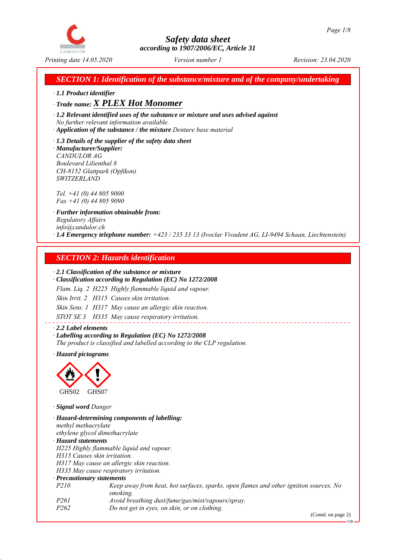

*SECTION 1: Identification of the substance/mixture and of the company/undertaking*

*ꞏ 1.1 Product identifier*

*ꞏ Trade name: X PLEX Hot Monomer*

*ꞏ 1.2 Relevant identified uses of the substance or mixture and uses advised against No further relevant information available.*

*ꞏ Application of the substance / the mixture Denture base material*

*ꞏ 1.3 Details of the supplier of the safety data sheet ꞏ Manufacturer/Supplier: CANDULOR AG Boulevard Lilienthal 8 CH-8152 Glattpark (Opfikon) SWITZERLAND*

*Tel. +41 (0) 44 805 9000 Fax +41 (0) 44 805 9090*

*ꞏ Further information obtainable from: Regulatory Affairs info@candulor.ch ꞏ 1.4 Emergency telephone number: +423 / 235 33 13 (Ivoclar Vivadent AG, LI-9494 Schaan, Liechtenstein)*

## *SECTION 2: Hazards identification*

#### *ꞏ 2.1 Classification of the substance or mixture*

*ꞏ Classification according to Regulation (EC) No 1272/2008*

*Flam. Liq. 2 H225 Highly flammable liquid and vapour.*

*Skin Irrit. 2 H315 Causes skin irritation.*

*Skin Sens. 1 H317 May cause an allergic skin reaction.*

*STOT SE 3 H335 May cause respiratory irritation.*

*ꞏ 2.2 Label elements ꞏ Labelling according to Regulation (EC) No 1272/2008 The product is classified and labelled according to the CLP regulation.*

*ꞏ Hazard pictograms*



*ꞏ Signal word Danger*

*ꞏ Hazard-determining components of labelling: methyl methacrylate ethylene glycol dimethacrylate ꞏ Hazard statements H225 Highly flammable liquid and vapour. H315 Causes skin irritation. H317 May cause an allergic skin reaction. H335 May cause respiratory irritation. ꞏ Precautionary statements P210 Keep away from heat, hot surfaces, sparks, open flames and other ignition sources. No smoking. P261 Avoid breathing dust/fume/gas/mist/vapours/spray. P262 Do not get in eyes, on skin, or on clothing.*

(Contd. on page 2)

GB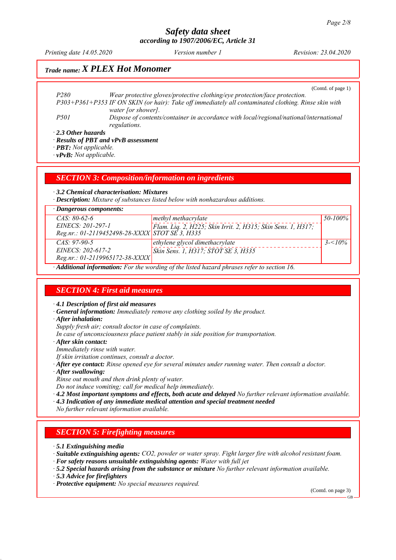*Printing date 14.05.2020 Revision: 23.04.2020 Version number 1*

## *Trade name: X PLEX Hot Monomer*

(Contd. of page 1)

*P280 Wear protective gloves/protective clothing/eye protection/face protection. P303+P361+P353 IF ON SKIN (or hair): Take off immediately all contaminated clothing. Rinse skin with water [or shower]. P501 Dispose of contents/container in accordance with local/regional/national/international regulations.*

*ꞏ 2.3 Other hazards*

*ꞏ Results of PBT and vPvB assessment*

*ꞏ PBT: Not applicable.*

*ꞏ vPvB: Not applicable.*

*SECTION 3: Composition/information on ingredients*

*ꞏ 3.2 Chemical characterisation: Mixtures*

*ꞏ Description: Mixture of substances listed below with nonhazardous additions.*

| $CAS: 80-62-6$<br>50-100%<br>methyl methacrylate                                  |  |
|-----------------------------------------------------------------------------------|--|
|                                                                                   |  |
| EINECS: 201-297-1<br>Flam. Liq. 2, H225; Skin Irrit. 2, H315; Skin Sens. 1, H317; |  |
| Reg.nr.: 01-2119452498-28-XXXX STOT SE 3, H335                                    |  |
| $CAS: 97-90-5$<br>$3 - 10\%$<br>ethylene glycol dimethacrylate                    |  |
| EINECS: 202-617-2<br>Skin Sens. 1, H317; STOT SE 3, H335                          |  |
| $Reg.nr.: 01-2119965172-38-XXXX$                                                  |  |

*ꞏ Additional information: For the wording of the listed hazard phrases refer to section 16.*

### *SECTION 4: First aid measures*

*ꞏ 4.1 Description of first aid measures*

*ꞏ General information: Immediately remove any clothing soiled by the product.*

*ꞏ After inhalation:*

*Supply fresh air; consult doctor in case of complaints.*

*In case of unconsciousness place patient stably in side position for transportation.*

*ꞏ After skin contact:*

*Immediately rinse with water.*

*If skin irritation continues, consult a doctor.*

- *ꞏ After eye contact: Rinse opened eye for several minutes under running water. Then consult a doctor.*
- *ꞏ After swallowing:*

*Rinse out mouth and then drink plenty of water.*

*Do not induce vomiting; call for medical help immediately.*

*ꞏ 4.2 Most important symptoms and effects, both acute and delayed No further relevant information available.*

*ꞏ 4.3 Indication of any immediate medical attention and special treatment needed*

*No further relevant information available.*

#### *SECTION 5: Firefighting measures*

*ꞏ 5.1 Extinguishing media*

*ꞏ Suitable extinguishing agents: CO2, powder or water spray. Fight larger fire with alcohol resistant foam.*

- *ꞏ For safety reasons unsuitable extinguishing agents: Water with full jet*
- *ꞏ 5.2 Special hazards arising from the substance or mixture No further relevant information available.*
- *ꞏ 5.3 Advice for firefighters*

*ꞏ Protective equipment: No special measures required.*

(Contd. on page 3)

GB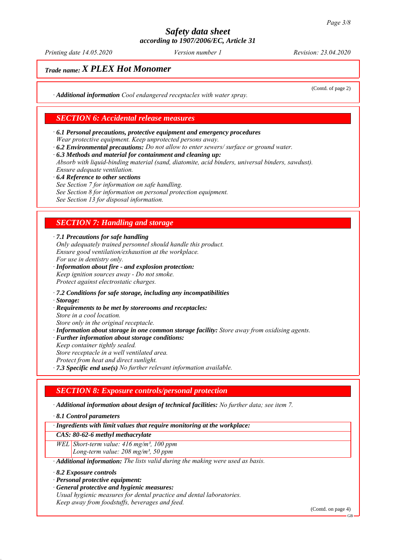*Printing date 14.05.2020 Revision: 23.04.2020 Version number 1*

(Contd. of page 2)

## *Trade name: X PLEX Hot Monomer*

*ꞏ Additional information Cool endangered receptacles with water spray.*

#### *SECTION 6: Accidental release measures*

- *ꞏ 6.1 Personal precautions, protective equipment and emergency procedures Wear protective equipment. Keep unprotected persons away.*
- *ꞏ 6.2 Environmental precautions: Do not allow to enter sewers/ surface or ground water.*
- *ꞏ 6.3 Methods and material for containment and cleaning up:*

*Absorb with liquid-binding material (sand, diatomite, acid binders, universal binders, sawdust). Ensure adequate ventilation.*

- *ꞏ 6.4 Reference to other sections*
- *See Section 7 for information on safe handling.*
- *See Section 8 for information on personal protection equipment.*

*See Section 13 for disposal information.*

#### *SECTION 7: Handling and storage*

*ꞏ 7.1 Precautions for safe handling*

*Only adequately trained personnel should handle this product. Ensure good ventilation/exhaustion at the workplace. For use in dentistry only.*

- *ꞏ Information about fire and explosion protection: Keep ignition sources away - Do not smoke. Protect against electrostatic charges.*
- *ꞏ 7.2 Conditions for safe storage, including any incompatibilities*
- *ꞏ Storage:*
- *ꞏ Requirements to be met by storerooms and receptacles: Store in a cool location. Store only in the original receptacle.*
- 
- *ꞏ Information about storage in one common storage facility: Store away from oxidising agents.*
- *ꞏ Further information about storage conditions:*
- *Keep container tightly sealed. Store receptacle in a well ventilated area. Protect from heat and direct sunlight.*
- *ꞏ 7.3 Specific end use(s) No further relevant information available.*

#### *SECTION 8: Exposure controls/personal protection*

*ꞏ Additional information about design of technical facilities: No further data; see item 7.*

*ꞏ 8.1 Control parameters*

*ꞏ Ingredients with limit values that require monitoring at the workplace:*

*CAS: 80-62-6 methyl methacrylate*

*WEL Short-term value: 416 mg/m³, 100 ppm*

*Long-term value: 208 mg/m³, 50 ppm*

*ꞏ Additional information: The lists valid during the making were used as basis.*

- *ꞏ 8.2 Exposure controls*
- *ꞏ Personal protective equipment:*
- *ꞏ General protective and hygienic measures:*
- *Usual hygienic measures for dental practice and dental laboratories. Keep away from foodstuffs, beverages and feed.*

(Contd. on page 4)

GB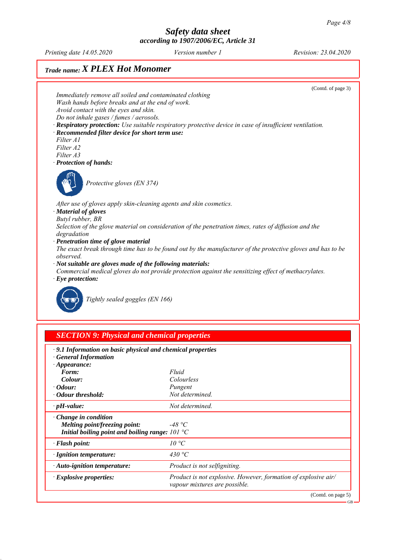*Printing date 14.05.2020 Revision: 23.04.2020 Version number 1*

# *Trade name: X PLEX Hot Monomer*



| · 9.1 Information on basic physical and chemical properties<br><b>General Information</b> |                                                                                                 |
|-------------------------------------------------------------------------------------------|-------------------------------------------------------------------------------------------------|
| $\cdot$ Appearance:                                                                       |                                                                                                 |
| Form:                                                                                     | Fluid                                                                                           |
| Colour:                                                                                   | Colourless                                                                                      |
| $\cdot$ <i>Odour:</i>                                                                     | Pungent                                                                                         |
| Odour threshold:                                                                          | Not determined.                                                                                 |
| $\cdot$ pH-value:                                                                         | Not determined.                                                                                 |
| $\cdot$ Change in condition                                                               |                                                                                                 |
| <b>Melting point/freezing point:</b>                                                      | -48 °C                                                                                          |
| Initial boiling point and boiling range: $101 \text{°C}$                                  |                                                                                                 |
| · Flash point:                                                                            | 10 °C                                                                                           |
| · Ignition temperature:                                                                   | 430 °C                                                                                          |
| $\cdot$ Auto-ignition temperature:                                                        | Product is not selfigniting.                                                                    |
| $\cdot$ Explosive properties:                                                             | Product is not explosive. However, formation of explosive air/<br>vapour mixtures are possible. |
|                                                                                           | (Contd. on page 5)                                                                              |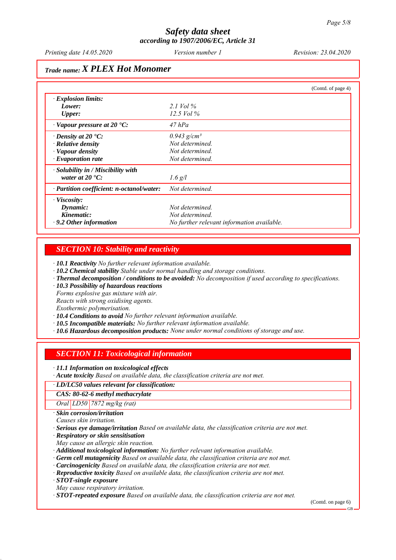## *Trade name: X PLEX Hot Monomer*

|                                           | (Contd. of page 4)                         |  |
|-------------------------------------------|--------------------------------------------|--|
| $\cdot$ Explosion limits:                 |                                            |  |
| Lower:                                    | 2.1 Vol $\%$                               |  |
| <b>Upper:</b>                             | $12.5$ Vol $\%$                            |  |
| $\cdot$ Vapour pressure at 20 $\cdot$ C:  | $47$ hPa                                   |  |
| $\cdot$ Density at 20 $\cdot$ C:          | $0.943$ g/cm <sup>3</sup>                  |  |
| $\cdot$ Relative density                  | Not determined.                            |  |
| · Vapour density                          | Not determined.                            |  |
| $\cdot$ Evaporation rate                  | Not determined.                            |  |
| $\cdot$ Solubility in / Miscibility with  |                                            |  |
| water at $20^{\circ}$ C:                  | $1.6$ g/l                                  |  |
| · Partition coefficient: n-octanol/water: | Not determined.                            |  |
| $\cdot$ Viscosity:                        |                                            |  |
| Dynamic:                                  | Not determined.                            |  |
| Kinematic:                                | Not determined.                            |  |
| $\cdot$ 9.2 Other information             | No further relevant information available. |  |

#### *SECTION 10: Stability and reactivity*

*ꞏ 10.1 Reactivity No further relevant information available.*

- *ꞏ 10.2 Chemical stability Stable under normal handling and storage conditions.*
- *ꞏ Thermal decomposition / conditions to be avoided: No decomposition if used according to specifications.*
- *ꞏ 10.3 Possibility of hazardous reactions*

*Forms explosive gas mixture with air.*

*Reacts with strong oxidising agents.*

*Exothermic polymerisation.*

*ꞏ 10.4 Conditions to avoid No further relevant information available.*

- *ꞏ 10.5 Incompatible materials: No further relevant information available.*
- *ꞏ 10.6 Hazardous decomposition products: None under normal conditions of storage and use.*

### *SECTION 11: Toxicological information*

*ꞏ 11.1 Information on toxicological effects*

*ꞏ Acute toxicity Based on available data, the classification criteria are not met.*

#### *ꞏ LD/LC50 values relevant for classification:*

*CAS: 80-62-6 methyl methacrylate*

*Oral LD50 7872 mg/kg (rat)*

*ꞏ Skin corrosion/irritation*

*Causes skin irritation.*

*ꞏ Serious eye damage/irritation Based on available data, the classification criteria are not met.*

*ꞏ Respiratory or skin sensitisation*

*May cause an allergic skin reaction.*

*ꞏ Additional toxicological information: No further relevant information available.*

- *ꞏ Germ cell mutagenicity Based on available data, the classification criteria are not met.*
- *ꞏ Carcinogenicity Based on available data, the classification criteria are not met.*
- *ꞏ Reproductive toxicity Based on available data, the classification criteria are not met.*

*ꞏ STOT-single exposure*

*May cause respiratory irritation.*

*ꞏ STOT-repeated exposure Based on available data, the classification criteria are not met.*

(Contd. on page 6)

GB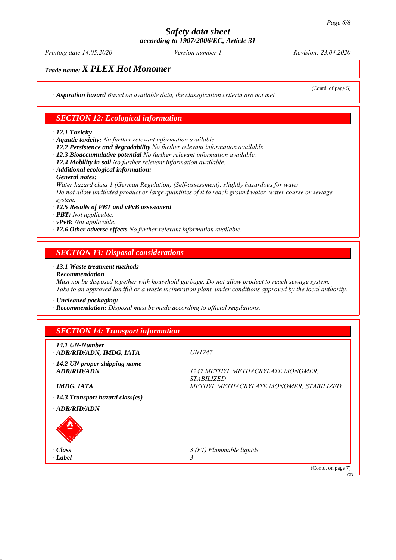*Printing date 14.05.2020 Revision: 23.04.2020 Version number 1*

(Contd. of page 5)

# *Trade name: X PLEX Hot Monomer*

*ꞏ Aspiration hazard Based on available data, the classification criteria are not met.*

#### *SECTION 12: Ecological information*

#### *ꞏ 12.1 Toxicity*

*ꞏ Aquatic toxicity: No further relevant information available.*

- *ꞏ 12.2 Persistence and degradability No further relevant information available.*
- *ꞏ 12.3 Bioaccumulative potential No further relevant information available.*
- *ꞏ 12.4 Mobility in soil No further relevant information available.*
- *ꞏ Additional ecological information:*
- *ꞏ General notes:*

*Water hazard class 1 (German Regulation) (Self-assessment): slightly hazardous for water Do not allow undiluted product or large quantities of it to reach ground water, water course or sewage system.*

- *ꞏ 12.5 Results of PBT and vPvB assessment*
- *ꞏ PBT: Not applicable.*
- *ꞏ vPvB: Not applicable.*
- *ꞏ 12.6 Other adverse effects No further relevant information available.*

#### *SECTION 13: Disposal considerations*

#### *ꞏ 13.1 Waste treatment methods*

*ꞏ Recommendation*

*Must not be disposed together with household garbage. Do not allow product to reach sewage system. Take to an approved landfill or a waste incineration plant, under conditions approved by the local authority.*

*ꞏ Uncleaned packaging:*

*ꞏ Recommendation: Disposal must be made according to official regulations.*

| $\cdot$ 14.1 UN-Number                                         |                                         |
|----------------------------------------------------------------|-----------------------------------------|
| · ADR/RID/ADN, IMDG, IATA                                      | <i>UN1247</i>                           |
| $\cdot$ 14.2 UN proper shipping name                           |                                         |
| $-ADR/RID/ADN$                                                 | 1247 METHYL METHACRYLATE MONOMER,       |
|                                                                | <i>STABILIZED</i>                       |
| $\cdot$ IMDG, IATA                                             | METHYL METHACRYLATE MONOMER, STABILIZED |
| $\cdot$ 14.3 Transport hazard class(es)<br>$\cdot$ ADR/RID/ADN |                                         |
|                                                                |                                         |
| $\cdot Class$                                                  | 3 (F1) Flammable liquids.               |
| $\cdot$ <i>Label</i>                                           |                                         |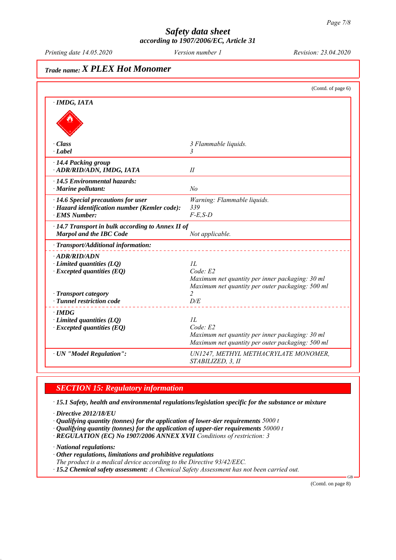*Printing date 14.05.2020 Revision: 23.04.2020 Version number 1*

# *Trade name: X PLEX Hot Monomer*

|                                                                                                                                                 | (Contd. of page 6)                                                                                                                              |
|-------------------------------------------------------------------------------------------------------------------------------------------------|-------------------------------------------------------------------------------------------------------------------------------------------------|
| · IMDG, IATA                                                                                                                                    |                                                                                                                                                 |
| $\cdot Class$<br>$\cdot$ <i>Label</i>                                                                                                           | 3 Flammable liquids.<br>$\overline{3}$                                                                                                          |
| · 14.4 Packing group<br>· ADR/RID/ADN, IMDG, IATA                                                                                               | II                                                                                                                                              |
| $\cdot$ 14.5 Environmental hazards:<br>$\cdot$ Marine pollutant:                                                                                | N <sub>o</sub>                                                                                                                                  |
| $\cdot$ 14.6 Special precautions for user<br>· Hazard identification number (Kemler code):<br>· EMS Number:                                     | Warning: Flammable liquids.<br>339<br>$F-E$ , $S-D$                                                                                             |
| $\cdot$ 14.7 Transport in bulk according to Annex II of<br><b>Marpol and the IBC Code</b>                                                       | Not applicable.                                                                                                                                 |
| · Transport/Additional information:                                                                                                             |                                                                                                                                                 |
| $\cdot$ ADR/RID/ADN<br>$\cdot$ Limited quantities (LQ)<br>$\cdot$ Excepted quantities (EQ)<br>· Transport category<br>· Tunnel restriction code | II.<br>Code: E2<br>Maximum net quantity per inner packaging: 30 ml<br>Maximum net quantity per outer packaging: 500 ml<br>$\overline{2}$<br>D/E |
| $\cdot$ IMDG<br>$\cdot$ Limited quantities (LQ)<br>$\cdot$ Excepted quantities (EQ)                                                             | IL<br>Code: E2<br>Maximum net quantity per inner packaging: 30 ml<br>Maximum net quantity per outer packaging: 500 ml                           |
| · UN "Model Regulation":                                                                                                                        | UN1247, METHYL METHACRYLATE MONOMER,<br>STABILIZED, 3, II                                                                                       |

### *SECTION 15: Regulatory information*

*ꞏ 15.1 Safety, health and environmental regulations/legislation specific for the substance or mixture*

- *ꞏ Directive 2012/18/EU*
- *ꞏ Qualifying quantity (tonnes) for the application of lower-tier requirements 5000 t*
- *ꞏ Qualifying quantity (tonnes) for the application of upper-tier requirements 50000 t*
- *ꞏ REGULATION (EC) No 1907/2006 ANNEX XVII Conditions of restriction: 3*

*ꞏ National regulations:*

- *ꞏ Other regulations, limitations and prohibitive regulations*
- *The product is a medical device according to the Directive 93/42/EEC.*
- *ꞏ 15.2 Chemical safety assessment: A Chemical Safety Assessment has not been carried out.*

(Contd. on page 8)

GB